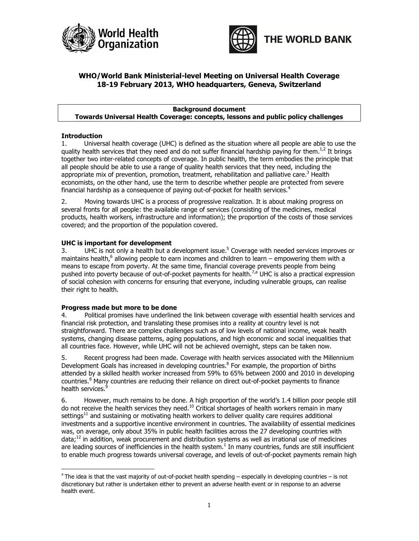



## WHO/World Bank Ministerial-level Meeting on Universal Health Coverage 18-19 February 2013, WHO headquarters, Geneva, Switzerland

#### Background document Towards Universal Health Coverage: concepts, lessons and public policy challenges

#### Introduction

.

1. Universal health coverage (UHC) is defined as the situation where all people are able to use the quality health services that they need and do not suffer financial hardship paying for them.<sup>1,2</sup> It brings together two inter-related concepts of coverage. In public health, the term embodies the principle that all people should be able to use a range of quality health services that they need, including the appropriate mix of prevention, promotion, treatment, rehabilitation and palliative care.<sup>3</sup> Health economists, on the other hand, use the term to describe whether people are protected from severe financial hardship as a consequence of paying out-of-pocket for health services. $4$ 

2. Moving towards UHC is a process of progressive realization. It is about making progress on several fronts for all people: the available range of services (consisting of the medicines, medical products, health workers, infrastructure and information); the proportion of the costs of those services covered; and the proportion of the population covered.

#### UHC is important for development

3. UHC is not only a health but a development issue.<sup>5</sup> Coverage with needed services improves or maintains health,<sup>6</sup> allowing people to earn incomes and children to learn – empowering them with a means to escape from poverty. At the same time, financial coverage prevents people from being pushed into poverty because of out-of-pocket payments for health.<sup>7,a</sup> UHC is also a practical expression of social cohesion with concerns for ensuring that everyone, including vulnerable groups, can realise their right to health.

#### Progress made but more to be done

4. Political promises have underlined the link between coverage with essential health services and financial risk protection, and translating these promises into a reality at country level is not straightforward. There are complex challenges such as of low levels of national income, weak health systems, changing disease patterns, aging populations, and high economic and social inequalities that all countries face. However, while UHC will not be achieved overnight, steps can be taken now.

5. Recent progress had been made. Coverage with health services associated with the Millennium Development Goals has increased in developing countries. $8$  For example, the proportion of births attended by a skilled health worker increased from 59% to 65% between 2000 and 2010 in developing countries.<sup>8</sup> Many countries are reducing their reliance on direct out-of-pocket payments to finance health services.<sup>9</sup>

6. However, much remains to be done. A high proportion of the world's 1.4 billion poor people still do not receive the health services they need. $^{10}$  Critical shortages of health workers remain in many settings<sup>11</sup> and sustaining or motivating health workers to deliver quality care requires additional investments and a supportive incentive environment in countries. The availability of essential medicines was, on average, only about 35% in public health facilities across the 27 developing countries with data;<sup>12</sup> in addition, weak procurement and distribution systems as well as irrational use of medicines are leading sources of inefficiencies in the health system. $<sup>1</sup>$  In many countries, funds are still insufficient</sup> to enable much progress towards universal coverage, and levels of out-of-pocket payments remain high

<sup>&</sup>lt;sup>a</sup> The idea is that the vast majority of out-of-pocket health spending – especially in developing countries – is not discretionary but rather is undertaken either to prevent an adverse health event or in response to an adverse health event.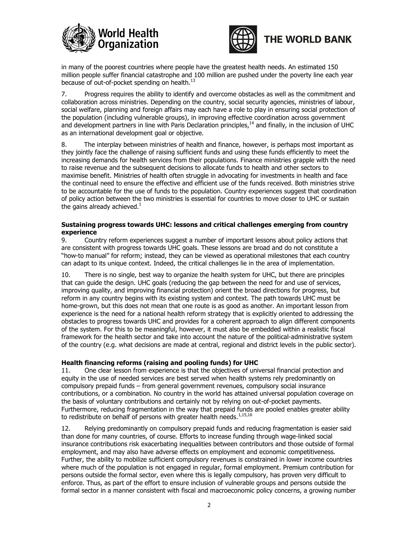



# THE WORLD BANK

in many of the poorest countries where people have the greatest health needs. An estimated 150 million people suffer financial catastrophe and 100 million are pushed under the poverty line each year because of out-of-pocket spending on health.<sup>13</sup>

7. Progress requires the ability to identify and overcome obstacles as well as the commitment and collaboration across ministries. Depending on the country, social security agencies, ministries of labour, social welfare, planning and foreign affairs may each have a role to play in ensuring social protection of the population (including vulnerable groups), in improving effective coordination across government and development partners in line with Paris Declaration principles, $<sup>14</sup>$  and finally, in the inclusion of UHC</sup> as an international development goal or objective.

8. The interplay between ministries of health and finance, however, is perhaps most important as they jointly face the challenge of raising sufficient funds and using these funds efficiently to meet the increasing demands for health services from their populations. Finance ministries grapple with the need to raise revenue and the subsequent decisions to allocate funds to health and other sectors to maximise benefit. Ministries of health often struggle in advocating for investments in health and face the continual need to ensure the effective and efficient use of the funds received. Both ministries strive to be accountable for the use of funds to the population. Country experiences suggest that coordination of policy action between the two ministries is essential for countries to move closer to UHC or sustain the gains already achieved. $<sup>1</sup>$ </sup>

#### Sustaining progress towards UHC: lessons and critical challenges emerging from country experience

9. Country reform experiences suggest a number of important lessons about policy actions that are consistent with progress towards UHC goals. These lessons are broad and do not constitute a "how-to manual" for reform; instead, they can be viewed as operational milestones that each country can adapt to its unique context. Indeed, the critical challenges lie in the area of implementation.

10. There is no single, best way to organize the health system for UHC, but there are principles that can guide the design. UHC goals (reducing the gap between the need for and use of services, improving quality, and improving financial protection) orient the broad directions for progress, but reform in any country begins with its existing system and context. The path towards UHC must be home-grown, but this does not mean that one route is as good as another. An important lesson from experience is the need for a national health reform strategy that is explicitly oriented to addressing the obstacles to progress towards UHC and provides for a coherent approach to align different components of the system. For this to be meaningful, however, it must also be embedded within a realistic fiscal framework for the health sector and take into account the nature of the political-administrative system of the country (e.g. what decisions are made at central, regional and district levels in the public sector).

### Health financing reforms (raising and pooling funds) for UHC

11. One clear lesson from experience is that the objectives of universal financial protection and equity in the use of needed services are best served when health systems rely predominantly on compulsory prepaid funds – from general government revenues, compulsory social insurance contributions, or a combination. No country in the world has attained universal population coverage on the basis of voluntary contributions and certainly not by relying on out-of-pocket payments. Furthermore, reducing fragmentation in the way that prepaid funds are pooled enables greater ability to redistribute on behalf of persons with greater health needs. $1,15,16$ 

12. Relying predominantly on compulsory prepaid funds and reducing fragmentation is easier said than done for many countries, of course. Efforts to increase funding through wage-linked social insurance contributions risk exacerbating inequalities between contributors and those outside of formal employment, and may also have adverse effects on employment and economic competitiveness. Further, the ability to mobilize sufficient compulsory revenues is constrained in lower income countries where much of the population is not engaged in regular, formal employment. Premium contribution for persons outside the formal sector, even where this is legally compulsory, has proven very difficult to enforce. Thus, as part of the effort to ensure inclusion of vulnerable groups and persons outside the formal sector in a manner consistent with fiscal and macroeconomic policy concerns, a growing number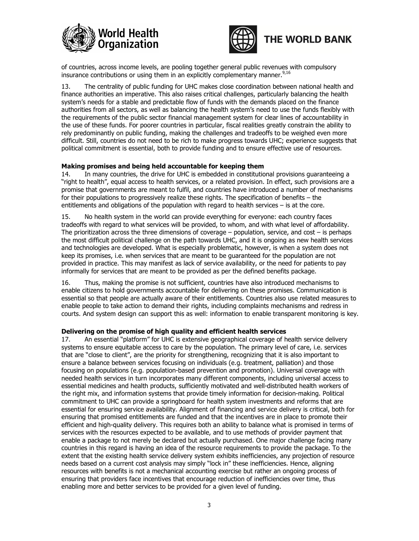





of countries, across income levels, are pooling together general public revenues with compulsory insurance contributions or using them in an explicitly complementary manner.<sup>9,16</sup>

13. The centrality of public funding for UHC makes close coordination between national health and finance authorities an imperative. This also raises critical challenges, particularly balancing the health system's needs for a stable and predictable flow of funds with the demands placed on the finance authorities from all sectors, as well as balancing the health system's need to use the funds flexibly with the requirements of the public sector financial management system for clear lines of accountability in the use of these funds. For poorer countries in particular, fiscal realities greatly constrain the ability to rely predominantly on public funding, making the challenges and tradeoffs to be weighed even more difficult. Still, countries do not need to be rich to make progress towards UHC; experience suggests that political commitment is essential, both to provide funding and to ensure effective use of resources.

#### Making promises and being held accountable for keeping them

14. In many countries, the drive for UHC is embedded in constitutional provisions guaranteeing a "right to health", equal access to health services, or a related provision. In effect, such provisions are a promise that governments are meant to fulfil, and countries have introduced a number of mechanisms for their populations to progressively realize these rights. The specification of benefits – the entitlements and obligations of the population with regard to health services – is at the core.

15. No health system in the world can provide everything for everyone: each country faces tradeoffs with regard to what services will be provided, to whom, and with what level of affordability. The prioritization across the three dimensions of coverage – population, service, and cost – is perhaps the most difficult political challenge on the path towards UHC, and it is ongoing as new health services and technologies are developed. What is especially problematic, however, is when a system does not keep its promises, i.e. when services that are meant to be guaranteed for the population are not provided in practice. This may manifest as lack of service availability, or the need for patients to pay informally for services that are meant to be provided as per the defined benefits package.

16. Thus, making the promise is not sufficient, countries have also introduced mechanisms to enable citizens to hold governments accountable for delivering on these promises. Communication is essential so that people are actually aware of their entitlements. Countries also use related measures to enable people to take action to demand their rights, including complaints mechanisms and redress in courts. And system design can support this as well: information to enable transparent monitoring is key.

#### Delivering on the promise of high quality and efficient health services

17. An essential "platform" for UHC is extensive geographical coverage of health service delivery systems to ensure equitable access to care by the population. The primary level of care, i.e. services that are "close to client", are the priority for strengthening, recognizing that it is also important to ensure a balance between services focusing on individuals (e.g. treatment, palliation) and those focusing on populations (e.g. population-based prevention and promotion). Universal coverage with needed health services in turn incorporates many different components, including universal access to essential medicines and health products, sufficiently motivated and well-distributed health workers of the right mix, and information systems that provide timely information for decision-making. Political commitment to UHC can provide a springboard for health system investments and reforms that are essential for ensuring service availability. Alignment of financing and service delivery is critical, both for ensuring that promised entitlements are funded and that the incentives are in place to promote their efficient and high-quality delivery. This requires both an ability to balance what is promised in terms of services with the resources expected to be available, and to use methods of provider payment that enable a package to not merely be declared but actually purchased. One major challenge facing many countries in this regard is having an idea of the resource requirements to provide the package. To the extent that the existing health service delivery system exhibits inefficiencies, any projection of resource needs based on a current cost analysis may simply "lock in" these inefficiencies. Hence, aligning resources with benefits is not a mechanical accounting exercise but rather an ongoing process of ensuring that providers face incentives that encourage reduction of inefficiencies over time, thus enabling more and better services to be provided for a given level of funding.